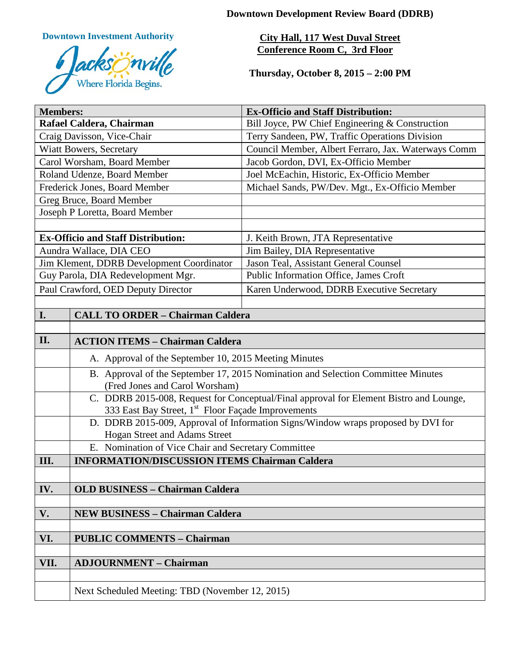**Downtown Development Review Board (DDRB)**

**Downtown Investment Authority**



**City Hall, 117 West Duval Street Conference Room C, 3rd Floor** 

**Thursday, October 8, 2015 – 2:00 PM**

| <b>Members:</b>                           |                                                                                                                                                    | <b>Ex-Officio and Staff Distribution:</b>           |  |
|-------------------------------------------|----------------------------------------------------------------------------------------------------------------------------------------------------|-----------------------------------------------------|--|
| Rafael Caldera, Chairman                  |                                                                                                                                                    | Bill Joyce, PW Chief Engineering & Construction     |  |
| Craig Davisson, Vice-Chair                |                                                                                                                                                    | Terry Sandeen, PW, Traffic Operations Division      |  |
| Wiatt Bowers, Secretary                   |                                                                                                                                                    | Council Member, Albert Ferraro, Jax. Waterways Comm |  |
| Carol Worsham, Board Member               |                                                                                                                                                    | Jacob Gordon, DVI, Ex-Officio Member                |  |
| Roland Udenze, Board Member               |                                                                                                                                                    | Joel McEachin, Historic, Ex-Officio Member          |  |
| Frederick Jones, Board Member             |                                                                                                                                                    | Michael Sands, PW/Dev. Mgt., Ex-Officio Member      |  |
| Greg Bruce, Board Member                  |                                                                                                                                                    |                                                     |  |
| Joseph P Loretta, Board Member            |                                                                                                                                                    |                                                     |  |
|                                           |                                                                                                                                                    |                                                     |  |
| <b>Ex-Officio and Staff Distribution:</b> |                                                                                                                                                    | J. Keith Brown, JTA Representative                  |  |
| Aundra Wallace, DIA CEO                   |                                                                                                                                                    | Jim Bailey, DIA Representative                      |  |
| Jim Klement, DDRB Development Coordinator |                                                                                                                                                    | Jason Teal, Assistant General Counsel               |  |
| Guy Parola, DIA Redevelopment Mgr.        |                                                                                                                                                    | Public Information Office, James Croft              |  |
| Paul Crawford, OED Deputy Director        |                                                                                                                                                    | Karen Underwood, DDRB Executive Secretary           |  |
|                                           |                                                                                                                                                    |                                                     |  |
| I.                                        | <b>CALL TO ORDER - Chairman Caldera</b>                                                                                                            |                                                     |  |
|                                           |                                                                                                                                                    |                                                     |  |
| II.                                       | <b>ACTION ITEMS - Chairman Caldera</b>                                                                                                             |                                                     |  |
|                                           | A. Approval of the September 10, 2015 Meeting Minutes                                                                                              |                                                     |  |
|                                           | B. Approval of the September 17, 2015 Nomination and Selection Committee Minutes<br>(Fred Jones and Carol Worsham)                                 |                                                     |  |
|                                           | C. DDRB 2015-008, Request for Conceptual/Final approval for Element Bistro and Lounge,                                                             |                                                     |  |
|                                           | 333 East Bay Street, 1 <sup>st</sup> Floor Façade Improvements<br>D. DDRB 2015-009, Approval of Information Signs/Window wraps proposed by DVI for |                                                     |  |
|                                           | Hogan Street and Adams Street                                                                                                                      |                                                     |  |
|                                           | E. Nomination of Vice Chair and Secretary Committee                                                                                                |                                                     |  |
| III.                                      | <b>INFORMATION/DISCUSSION ITEMS Chairman Caldera</b>                                                                                               |                                                     |  |
|                                           |                                                                                                                                                    |                                                     |  |
| IV.                                       | <b>OLD BUSINESS - Chairman Caldera</b>                                                                                                             |                                                     |  |
|                                           |                                                                                                                                                    |                                                     |  |
| V.                                        | <b>NEW BUSINESS - Chairman Caldera</b>                                                                                                             |                                                     |  |
|                                           |                                                                                                                                                    |                                                     |  |
| VI.                                       | <b>PUBLIC COMMENTS - Chairman</b>                                                                                                                  |                                                     |  |
|                                           |                                                                                                                                                    |                                                     |  |
| VII.                                      | <b>ADJOURNMENT - Chairman</b>                                                                                                                      |                                                     |  |
|                                           |                                                                                                                                                    |                                                     |  |
|                                           | Next Scheduled Meeting: TBD (November 12, 2015)                                                                                                    |                                                     |  |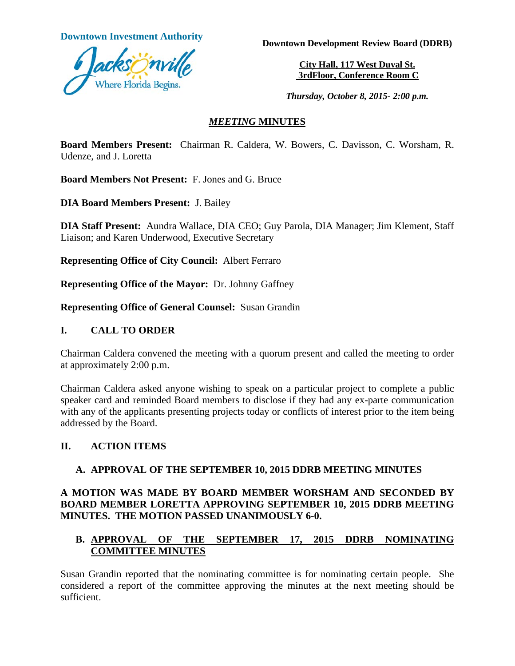

**Downtown Investment Authority Downtown Development Review Board (DDRB)** 

**City Hall, 117 West Duval St. 3rdFloor, Conference Room C**

*Thursday, October 8, 2015- 2:00 p.m.*

### *MEETING* **MINUTES**

**Board Members Present:** Chairman R. Caldera, W. Bowers, C. Davisson, C. Worsham, R. Udenze, and J. Loretta

**Board Members Not Present:** F. Jones and G. Bruce

**DIA Board Members Present:** J. Bailey

**DIA Staff Present:** Aundra Wallace, DIA CEO; Guy Parola, DIA Manager; Jim Klement, Staff Liaison; and Karen Underwood, Executive Secretary

**Representing Office of City Council:** Albert Ferraro

**Representing Office of the Mayor:** Dr. Johnny Gaffney

**Representing Office of General Counsel:** Susan Grandin

#### **I. CALL TO ORDER**

Chairman Caldera convened the meeting with a quorum present and called the meeting to order at approximately 2:00 p.m.

Chairman Caldera asked anyone wishing to speak on a particular project to complete a public speaker card and reminded Board members to disclose if they had any ex-parte communication with any of the applicants presenting projects today or conflicts of interest prior to the item being addressed by the Board.

### **II. ACTION ITEMS**

### **A. APPROVAL OF THE SEPTEMBER 10, 2015 DDRB MEETING MINUTES**

### **A MOTION WAS MADE BY BOARD MEMBER WORSHAM AND SECONDED BY BOARD MEMBER LORETTA APPROVING SEPTEMBER 10, 2015 DDRB MEETING MINUTES. THE MOTION PASSED UNANIMOUSLY 6-0.**

### **B. APPROVAL OF THE SEPTEMBER 17, 2015 DDRB NOMINATING COMMITTEE MINUTES**

Susan Grandin reported that the nominating committee is for nominating certain people. She considered a report of the committee approving the minutes at the next meeting should be sufficient.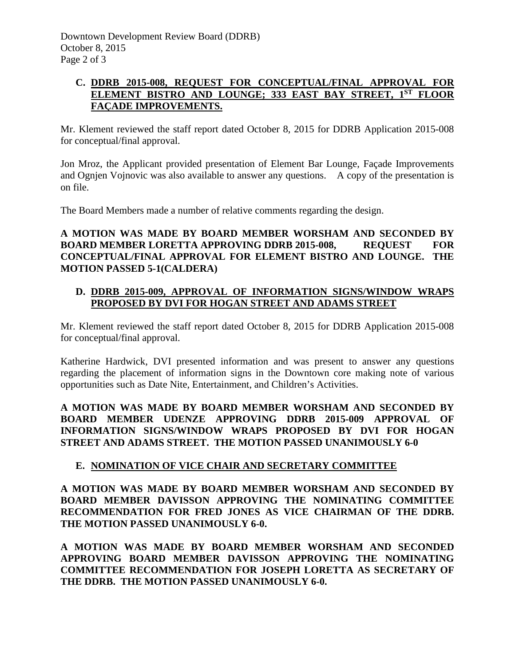## **C. DDRB 2015-008, REQUEST FOR CONCEPTUAL/FINAL APPROVAL FOR ELEMENT BISTRO AND LOUNGE; 333 EAST BAY STREET, 1ST FLOOR FAÇADE IMPROVEMENTS.**

Mr. Klement reviewed the staff report dated October 8, 2015 for DDRB Application 2015-008 for conceptual/final approval.

Jon Mroz, the Applicant provided presentation of Element Bar Lounge, Façade Improvements and Ognjen Vojnovic was also available to answer any questions. A copy of the presentation is on file.

The Board Members made a number of relative comments regarding the design.

## **A MOTION WAS MADE BY BOARD MEMBER WORSHAM AND SECONDED BY BOARD MEMBER LORETTA APPROVING DDRB 2015-008, REQUEST FOR CONCEPTUAL/FINAL APPROVAL FOR ELEMENT BISTRO AND LOUNGE. THE MOTION PASSED 5-1(CALDERA)**

## **D. DDRB 2015-009, APPROVAL OF INFORMATION SIGNS/WINDOW WRAPS PROPOSED BY DVI FOR HOGAN STREET AND ADAMS STREET**

Mr. Klement reviewed the staff report dated October 8, 2015 for DDRB Application 2015-008 for conceptual/final approval.

Katherine Hardwick, DVI presented information and was present to answer any questions regarding the placement of information signs in the Downtown core making note of various opportunities such as Date Nite, Entertainment, and Children's Activities.

**A MOTION WAS MADE BY BOARD MEMBER WORSHAM AND SECONDED BY BOARD MEMBER UDENZE APPROVING DDRB 2015-009 APPROVAL OF INFORMATION SIGNS/WINDOW WRAPS PROPOSED BY DVI FOR HOGAN STREET AND ADAMS STREET. THE MOTION PASSED UNANIMOUSLY 6-0** 

# **E. NOMINATION OF VICE CHAIR AND SECRETARY COMMITTEE**

**A MOTION WAS MADE BY BOARD MEMBER WORSHAM AND SECONDED BY BOARD MEMBER DAVISSON APPROVING THE NOMINATING COMMITTEE RECOMMENDATION FOR FRED JONES AS VICE CHAIRMAN OF THE DDRB. THE MOTION PASSED UNANIMOUSLY 6-0.**

**A MOTION WAS MADE BY BOARD MEMBER WORSHAM AND SECONDED APPROVING BOARD MEMBER DAVISSON APPROVING THE NOMINATING COMMITTEE RECOMMENDATION FOR JOSEPH LORETTA AS SECRETARY OF THE DDRB. THE MOTION PASSED UNANIMOUSLY 6-0.**